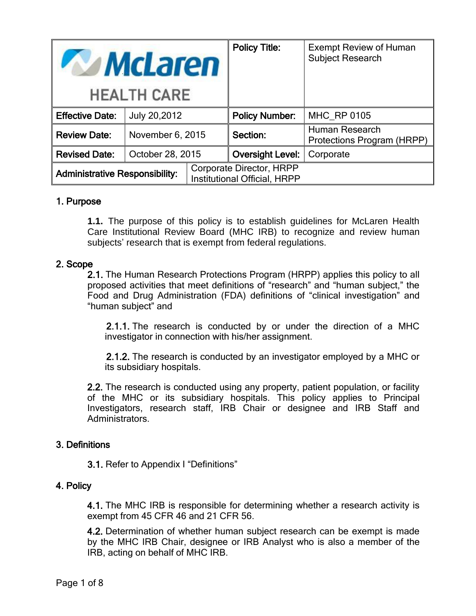| <b>McLaren</b>                        |                  |  | <b>Policy Title:</b>                                            | <b>Exempt Review of Human</b><br><b>Subject Research</b> |
|---------------------------------------|------------------|--|-----------------------------------------------------------------|----------------------------------------------------------|
| <b>HEALTH CARE</b>                    |                  |  |                                                                 |                                                          |
| <b>Effective Date:</b>                | July 20,2012     |  | <b>Policy Number:</b>                                           | <b>MHC RP 0105</b>                                       |
| <b>Review Date:</b>                   | November 6, 2015 |  | Section:                                                        | Human Research<br>Protections Program (HRPP)             |
| <b>Revised Date:</b>                  | October 28, 2015 |  | <b>Oversight Level:</b>                                         | Corporate                                                |
| <b>Administrative Responsibility:</b> |                  |  | Corporate Director, HRPP<br><b>Institutional Official, HRPP</b> |                                                          |

## 1. Purpose

**1.1.** The purpose of this policy is to establish guidelines for McLaren Health Care Institutional Review Board (MHC IRB) to recognize and review human subjects' research that is exempt from federal regulations.

## 2. Scope

2.1. The Human Research Protections Program (HRPP) applies this policy to all proposed activities that meet definitions of "research" and "human subject," the Food and Drug Administration (FDA) definitions of "clinical investigation" and "human subject" and

2.1.1. The research is conducted by or under the direction of a MHC investigator in connection with his/her assignment.

2.1.2. The research is conducted by an investigator employed by a MHC or its subsidiary hospitals.

2.2. The research is conducted using any property, patient population, or facility of the MHC or its subsidiary hospitals. This policy applies to Principal Investigators, research staff, IRB Chair or designee and IRB Staff and Administrators.

### 3. Definitions

3.1. Refer to Appendix I "Definitions"

## 4. Policy

4.1. The MHC IRB is responsible for determining whether a research activity is exempt from 45 CFR 46 and 21 CFR 56.

4.2. Determination of whether human subject research can be exempt is made by the MHC IRB Chair, designee or IRB Analyst who is also a member of the IRB, acting on behalf of MHC IRB.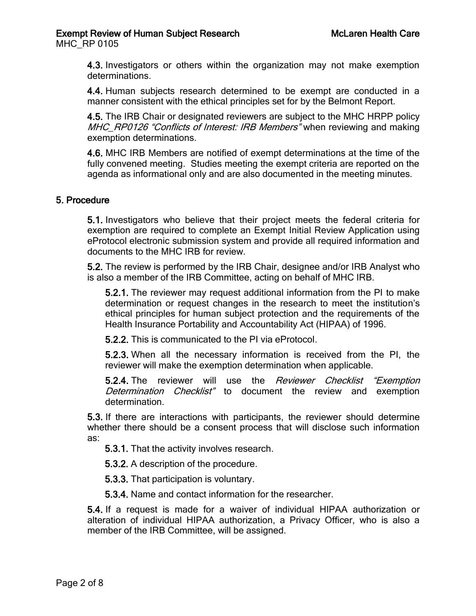MHC\_RP 0105

4.3. Investigators or others within the organization may not make exemption determinations.

4.4. Human subjects research determined to be exempt are conducted in a manner consistent with the ethical principles set for by the Belmont Report.

4.5. The IRB Chair or designated reviewers are subject to the MHC HRPP policy MHC RP0126 "Conflicts of Interest: IRB Members" when reviewing and making exemption determinations.

4.6. MHC IRB Members are notified of exempt determinations at the time of the fully convened meeting. Studies meeting the exempt criteria are reported on the agenda as informational only and are also documented in the meeting minutes.

## 5. Procedure

5.1. Investigators who believe that their project meets the federal criteria for exemption are required to complete an Exempt Initial Review Application using eProtocol electronic submission system and provide all required information and documents to the MHC IRB for review.

5.2. The review is performed by the IRB Chair, designee and/or IRB Analyst who is also a member of the IRB Committee, acting on behalf of MHC IRB.

5.2.1. The reviewer may request additional information from the PI to make determination or request changes in the research to meet the institution's ethical principles for human subject protection and the requirements of the Health Insurance Portability and Accountability Act (HIPAA) of 1996.

5.2.2. This is communicated to the PI via eProtocol.

5.2.3. When all the necessary information is received from the PI, the reviewer will make the exemption determination when applicable.

5.2.4. The reviewer will use the Reviewer Checklist "Exemption Determination Checklist" to document the review and exemption determination.

5.3. If there are interactions with participants, the reviewer should determine whether there should be a consent process that will disclose such information as:

5.3.1. That the activity involves research.

5.3.2. A description of the procedure.

5.3.3. That participation is voluntary.

5.3.4. Name and contact information for the researcher.

5.4. If a request is made for a waiver of individual HIPAA authorization or alteration of individual HIPAA authorization, a Privacy Officer, who is also a member of the IRB Committee, will be assigned.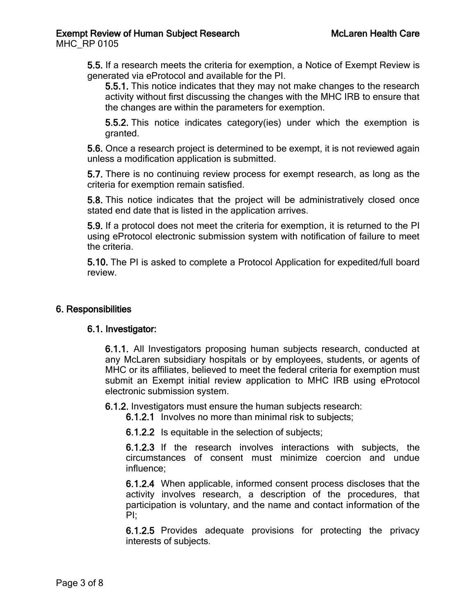## Exempt Review of Human Subject Research **McLaren Health Care**

MHC\_RP 0105

5.5. If a research meets the criteria for exemption, a Notice of Exempt Review is generated via eProtocol and available for the PI.

5.5.1. This notice indicates that they may not make changes to the research activity without first discussing the changes with the MHC IRB to ensure that the changes are within the parameters for exemption.

5.5.2. This notice indicates category(ies) under which the exemption is granted.

5.6. Once a research project is determined to be exempt, it is not reviewed again unless a modification application is submitted.

5.7. There is no continuing review process for exempt research, as long as the criteria for exemption remain satisfied.

5.8. This notice indicates that the project will be administratively closed once stated end date that is listed in the application arrives.

5.9. If a protocol does not meet the criteria for exemption, it is returned to the PI using eProtocol electronic submission system with notification of failure to meet the criteria.

5.10. The PI is asked to complete a Protocol Application for expedited/full board review.

## 6. Responsibilities

### 6.1. Investigator:

6.1.1. All Investigators proposing human subjects research, conducted at any McLaren subsidiary hospitals or by employees, students, or agents of MHC or its affiliates, believed to meet the federal criteria for exemption must submit an Exempt initial review application to MHC IRB using eProtocol electronic submission system.

6.1.2. Investigators must ensure the human subjects research:

6.1.2.1 Involves no more than minimal risk to subjects;

6.1.2.2 Is equitable in the selection of subjects;

6.1.2.3 If the research involves interactions with subjects, the circumstances of consent must minimize coercion and undue influence;

6.1.2.4 When applicable, informed consent process discloses that the activity involves research, a description of the procedures, that participation is voluntary, and the name and contact information of the PI;

6.1.2.5 Provides adequate provisions for protecting the privacy interests of subjects.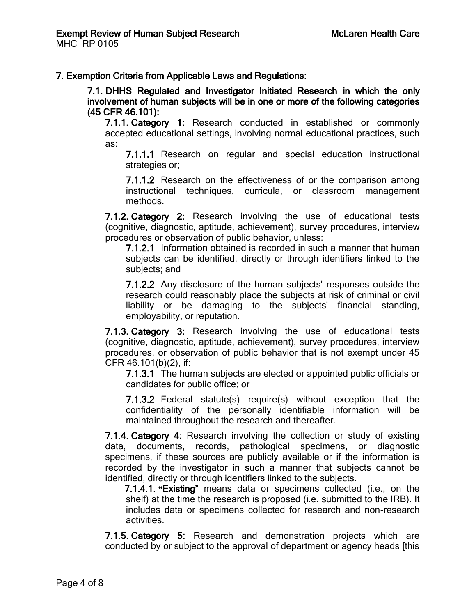# 7. Exemption Criteria from Applicable Laws and Regulations:

7.1. DHHS Regulated and Investigator Initiated Research in which the only involvement of human subjects will be in one or more of the following categories (45 CFR 46.101):

7.1.1. Category 1: Research conducted in established or commonly accepted educational settings, involving normal educational practices, such as:

7.1.1.1 Research on regular and special education instructional strategies or;

7.1.1.2 Research on the effectiveness of or the comparison among instructional techniques, curricula, or classroom management methods.

7.1.2. Category 2: Research involving the use of educational tests (cognitive, diagnostic, aptitude, achievement), survey procedures, interview procedures or observation of public behavior, unless:

7.1.2.1 Information obtained is recorded in such a manner that human subjects can be identified, directly or through identifiers linked to the subjects; and

7.1.2.2 Any disclosure of the human subjects' responses outside the research could reasonably place the subjects at risk of criminal or civil liability or be damaging to the subjects' financial standing, employability, or reputation.

7.1.3. Category 3: Research involving the use of educational tests (cognitive, diagnostic, aptitude, achievement), survey procedures, interview procedures, or observation of public behavior that is not exempt under 45 CFR 46.101(b)(2), if:

7.1.3.1 The human subjects are elected or appointed public officials or candidates for public office; or

7.1.3.2 Federal statute(s) require(s) without exception that the confidentiality of the personally identifiable information will be maintained throughout the research and thereafter.

7.1.4. Category 4: Research involving the collection or study of existing data, documents, records, pathological specimens, or diagnostic specimens, if these sources are publicly available or if the information is recorded by the investigator in such a manner that subjects cannot be identified, directly or through identifiers linked to the subjects.

7.1.4.1. **"**Existing" means data or specimens collected (i.e., on the shelf) at the time the research is proposed (i.e. submitted to the IRB). It includes data or specimens collected for research and non-research activities.

7.1.5. Category 5: Research and demonstration projects which are conducted by or subject to the approval of department or agency heads [this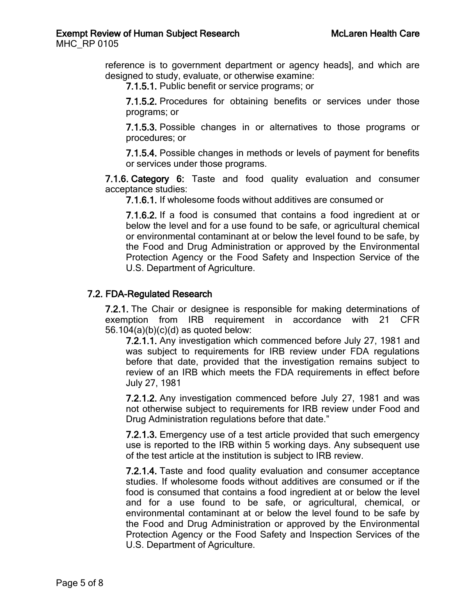reference is to government department or agency heads], and which are designed to study, evaluate, or otherwise examine:

7.1.5.1. Public benefit or service programs; or

7.1.5.2. Procedures for obtaining benefits or services under those programs; or

7.1.5.3. Possible changes in or alternatives to those programs or procedures; or

7.1.5.4. Possible changes in methods or levels of payment for benefits or services under those programs.

7.1.6. Category 6: Taste and food quality evaluation and consumer acceptance studies:

7.1.6.1. If wholesome foods without additives are consumed or

7.1.6.2. If a food is consumed that contains a food ingredient at or below the level and for a use found to be safe, or agricultural chemical or environmental contaminant at or below the level found to be safe, by the Food and Drug Administration or approved by the Environmental Protection Agency or the Food Safety and Inspection Service of the U.S. Department of Agriculture.

## 7.2. FDA-Regulated Research

7.2.1. The Chair or designee is responsible for making determinations of exemption from IRB requirement in accordance with 21 CFR 56.104(a)(b)(c)(d) as quoted below:

7.2.1.1. Any investigation which commenced before July 27, 1981 and was subject to requirements for IRB review under FDA regulations before that date, provided that the investigation remains subject to review of an IRB which meets the FDA requirements in effect before July 27, 1981

7.2.1.2. Any investigation commenced before July 27, 1981 and was not otherwise subject to requirements for IRB review under Food and Drug Administration regulations before that date."

7.2.1.3. Emergency use of a test article provided that such emergency use is reported to the IRB within 5 working days. Any subsequent use of the test article at the institution is subject to IRB review.

7.2.1.4. Taste and food quality evaluation and consumer acceptance studies. If wholesome foods without additives are consumed or if the food is consumed that contains a food ingredient at or below the level and for a use found to be safe, or agricultural, chemical, or environmental contaminant at or below the level found to be safe by the Food and Drug Administration or approved by the Environmental Protection Agency or the Food Safety and Inspection Services of the U.S. Department of Agriculture.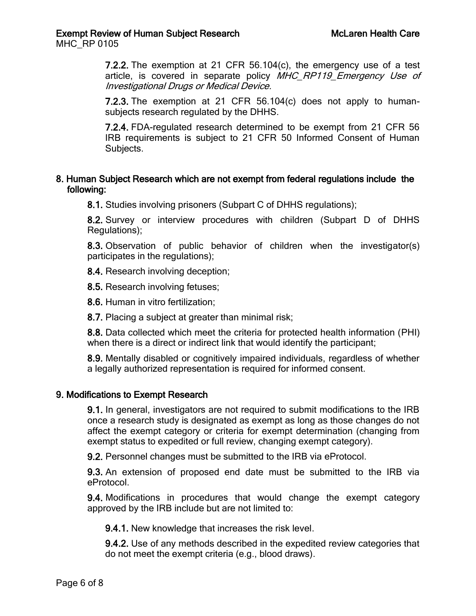MHC\_RP 0105

7.2.2. The exemption at 21 CFR 56.104(c), the emergency use of a test article, is covered in separate policy MHC\_RP119\_Emergency Use of Investigational Drugs or Medical Device.

7.2.3. The exemption at 21 CFR 56.104(c) does not apply to humansubjects research regulated by the DHHS.

7.2.4. FDA-regulated research determined to be exempt from 21 CFR 56 IRB requirements is subject to 21 CFR 50 Informed Consent of Human Subjects.

## 8. Human Subject Research which are not exempt from federal regulations include the following:

8.1. Studies involving prisoners (Subpart C of DHHS regulations);

8.2. Survey or interview procedures with children (Subpart D of DHHS Regulations);

8.3. Observation of public behavior of children when the investigator(s) participates in the regulations);

8.4. Research involving deception;

8.5. Research involving fetuses;

8.6. Human in vitro fertilization;

8.7. Placing a subject at greater than minimal risk;

8.8. Data collected which meet the criteria for protected health information (PHI) when there is a direct or indirect link that would identify the participant;

8.9. Mentally disabled or cognitively impaired individuals, regardless of whether a legally authorized representation is required for informed consent.

### 9. Modifications to Exempt Research

9.1. In general, investigators are not required to submit modifications to the IRB once a research study is designated as exempt as long as those changes do not affect the exempt category or criteria for exempt determination (changing from exempt status to expedited or full review, changing exempt category).

9.2. Personnel changes must be submitted to the IRB via eProtocol.

9.3. An extension of proposed end date must be submitted to the IRB via eProtocol.

9.4. Modifications in procedures that would change the exempt category approved by the IRB include but are not limited to:

9.4.1. New knowledge that increases the risk level.

9.4.2. Use of any methods described in the expedited review categories that do not meet the exempt criteria (e.g., blood draws).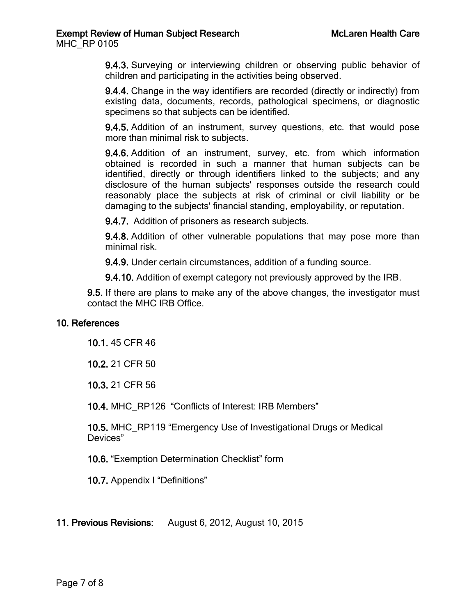9.4.3. Surveying or interviewing children or observing public behavior of children and participating in the activities being observed.

9.4.4. Change in the way identifiers are recorded (directly or indirectly) from existing data, documents, records, pathological specimens, or diagnostic specimens so that subjects can be identified.

9.4.5. Addition of an instrument, survey questions, etc. that would pose more than minimal risk to subjects.

9.4.6. Addition of an instrument, survey, etc. from which information obtained is recorded in such a manner that human subjects can be identified, directly or through identifiers linked to the subjects; and any disclosure of the human subjects' responses outside the research could reasonably place the subjects at risk of criminal or civil liability or be damaging to the subjects' financial standing, employability, or reputation.

9.4.7. Addition of prisoners as research subjects.

9.4.8. Addition of other vulnerable populations that may pose more than minimal risk.

9.4.9. Under certain circumstances, addition of a funding source.

9.4.10. Addition of exempt category not previously approved by the IRB.

9.5. If there are plans to make any of the above changes, the investigator must contact the MHC IRB Office.

#### 10. References

10.1. 45 CFR 46

10.2. 21 CFR 50

10.3. 21 CFR 56

10.4. MHC\_RP126 "Conflicts of Interest: IRB Members"

10.5. MHC\_RP119 "Emergency Use of Investigational Drugs or Medical Devices"

10.6. "Exemption Determination Checklist" form

10.7. Appendix I "Definitions"

11. Previous Revisions: August 6, 2012, August 10, 2015